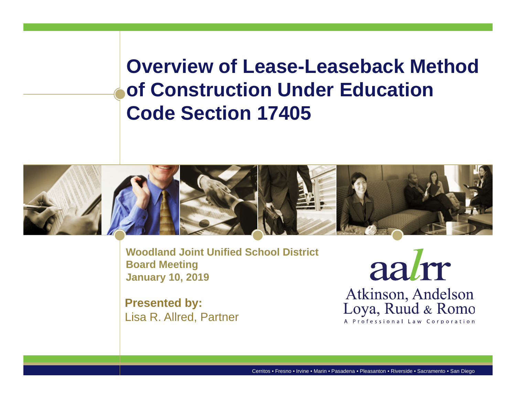**Overview of Lease-Leaseback Method of Construction Under Education Code Section 17405**



**Woodland Joint Unified School DistrictBoard Meeting January 10, 2019** 

**Presented by:** Lisa R. Allred, Partner

aalm Atkinson, Andelson Loya, Ruud & Romo A Professional Law Corporation

Cerritos • Fresno • Irvine • Marin • Pasadena • Pleasanton • Riverside • Sacramento • San Diego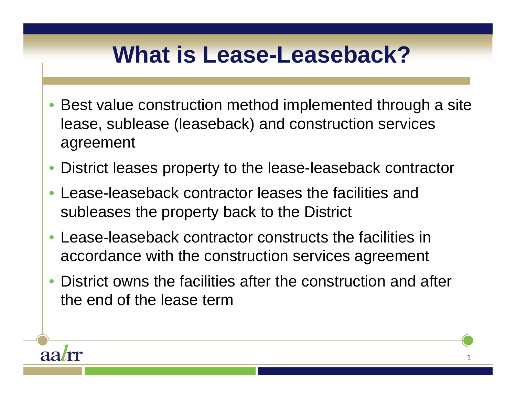#### **What is Lease-Leaseback?**

- Best value construction method implemented through a site lease, sublease (leaseback) and construction services agreement
- District leases property to the lease-leaseback contractor
- Lease-leaseback contractor leases the facilities and subleases the property back to the District
- Lease-leaseback contractor constructs the facilities in accordance with the construction services agreement
- • District owns the facilities after the construction and after the end of the lease term

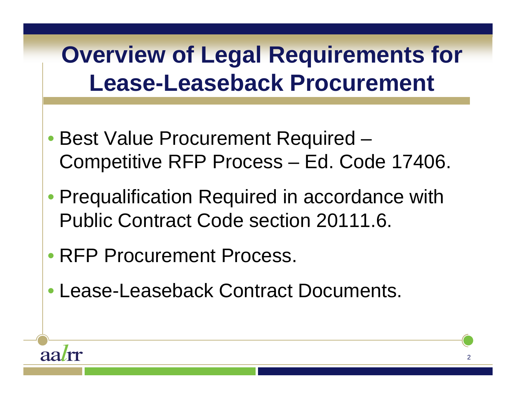### **Overview of Legal Requirements for Lease-Leaseback Procurement**

- Best Value Procurement Required Competitive RFP Process – Ed. Code 17406.
- Prequalification Required in accordance with Public Contract Code section 20111.6.
- RFP Procurement Process.

aa*l*m

• Lease-Leaseback Contract Documents.

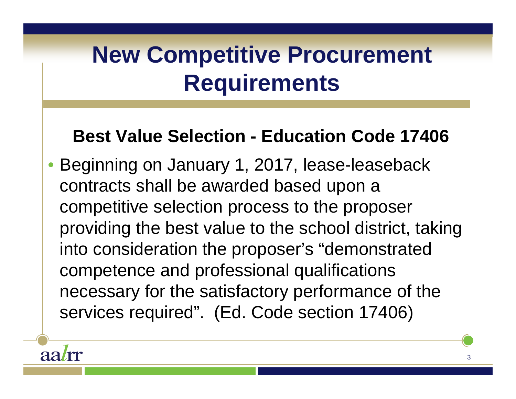### **New Competitive Procurement Requirements**

#### **Best Value Selection - Education Code 17406**

• Beginning on January 1, 2017, lease-leaseback contracts shall be awarded based upon a competitive selection process to the proposer providing the best value to the school district, taking into consideration the proposer's "demonstrated competence and professional qualifications necessary for the satisfactory performance of the services required". (Ed. Code section 17406)

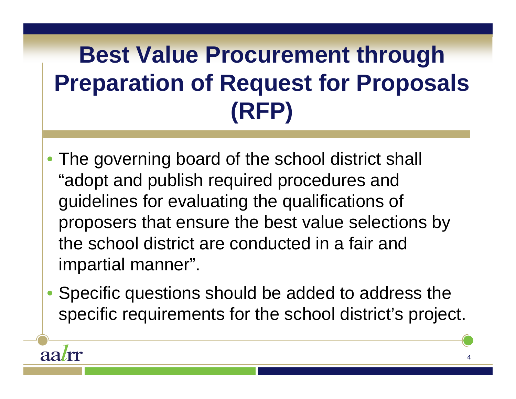### **Best Value Procurement through Preparation of Request for Proposals (RFP)**

- The governing board of the school district shall "adopt and publish required procedures and guidelines for evaluating the qualifications of proposers that ensure the best value selections by the school district are conducted in a fair and impartial manner".
- Specific questions should be added to address the specific requirements for the school district's project.

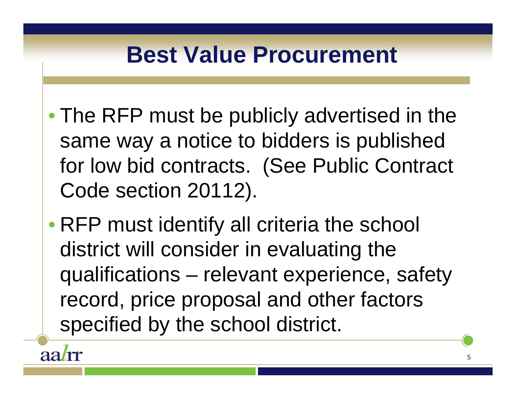#### **Best Value Procurement**

- The RFP must be publicly advertised in the same way a notice to bidders is published for low bid contracts. (See Public Contract Code section 20112).
- RFP must identify all criteria the school district will consider in evaluating the qualifications – relevant experience, safety record, price proposal and other factors specified by the school district.

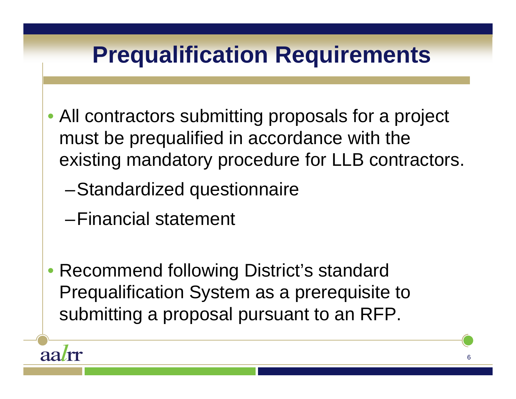

• Recommend following District's standard Prequalification System as a prerequisite to submitting a proposal pursuant to an RFP.

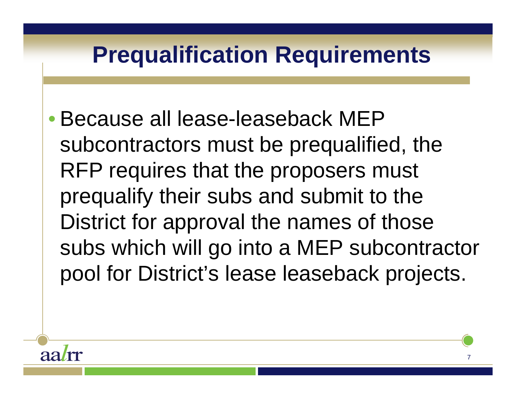#### **Prequalification Requirements**

 $\bullet$  Because all lease-leaseback MEP subcontractors must be prequalified, the RFP requires that the proposers must prequalify their subs and submit to the District for approval the names of those subs which will go into a MEP subcontractor pool for District's lease leaseback projects.

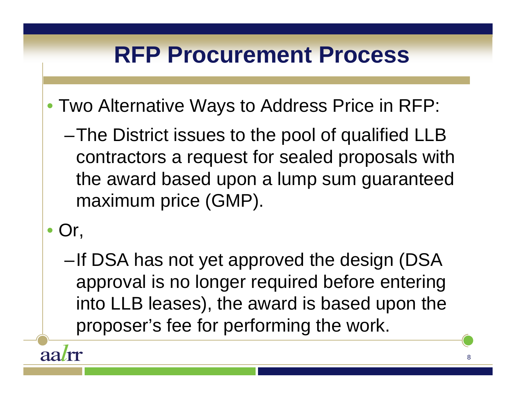#### **RFP Procurement Process**

- Two Alternative Ways to Address Price in RFP:
	- –The District issues to the pool of qualified LLB contractors a request for sealed proposals with the award based upon a lump sum guaranteed maximum price (GMP).
- Or,
	- –If DSA has not yet approved the design (DSA approval is no longer required before entering into LLB leases), the award is based upon the proposer's fee for performing the work.

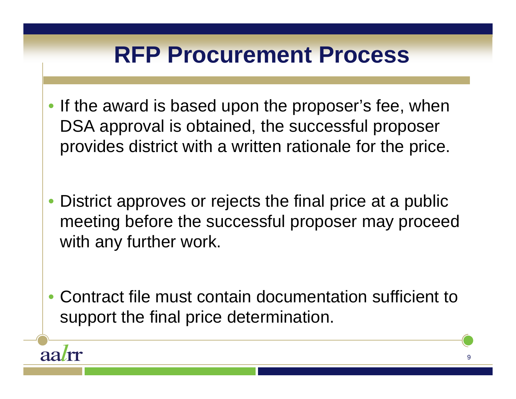#### **RFP Procurement Process**

- •If the award is based upon the proposer's fee, when DSA approval is obtained, the successful proposer provides district with a written rationale for the price.
- • District approves or rejects the final price at a public meeting before the successful proposer may proceed with any further work.
- Contract file must contain documentation sufficient to support the final price determination.

aa*l*rr

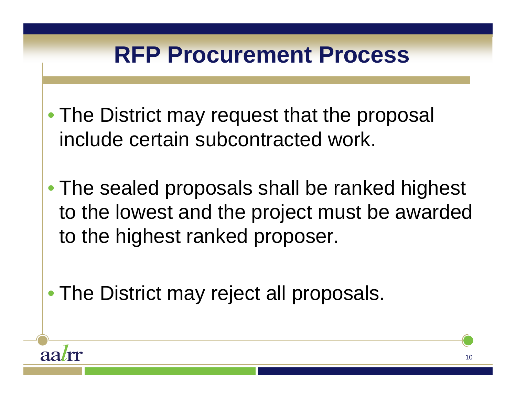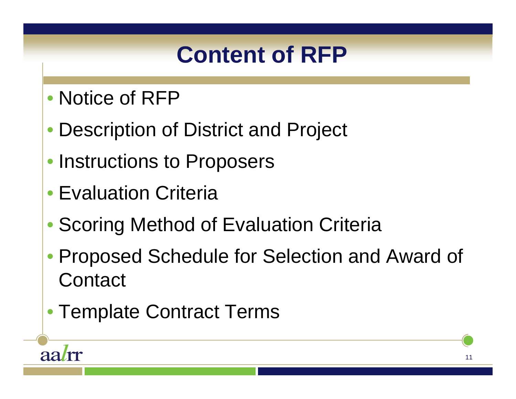#### **Content of RFP**

- Notice of RFP
- Description of District and Project
- Instructions to Proposers
- Evaluation Criteria

aalrr

- Scoring Method of Evaluation Criteria
- Proposed Schedule for Selection and Award of **Contact**
- Template Contract Terms

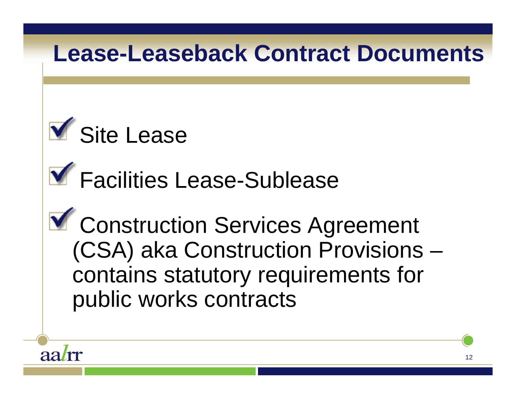#### **Lease-Leaseback Contract Documents**



**Y** Facilities Lease-Sublease

**Y** Construction Services Agreement (CSA) aka Construction Provisions – contains statutory requirements for public works contracts

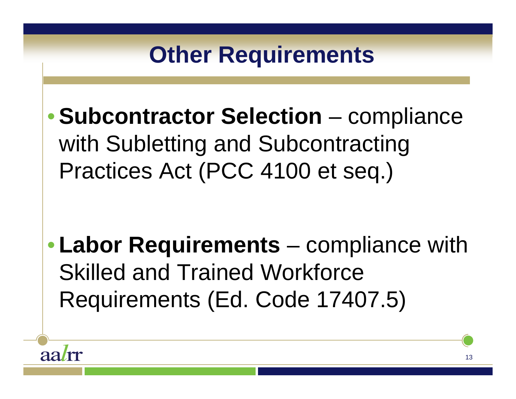## **Other Requirements** •**Subcontractor Selection** – compliance with Subletting and Subcontracting Practices Act (PCC 4100 et seq.)

• **Labor Requirements** – compliance with Skilled and Trained Workforce Requirements (Ed. Code 17407.5)

aa*l*rr

13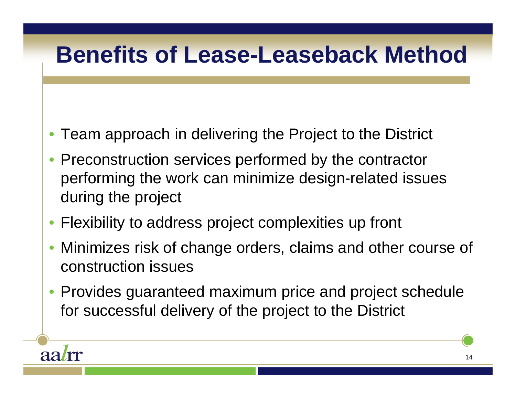#### **Benefits of Lease-Leaseback Method**

- Team approach in delivering the Project to the District
- • Preconstruction services performed by the contractor performing the work can minimize design-related issues during the project
- •Flexibility to address project complexities up front

aalrr

- • Minimizes risk of change orders, claims and other course of construction issues
- $\bullet$  Provides guaranteed maximum price and project schedule for successful delivery of the project to the District

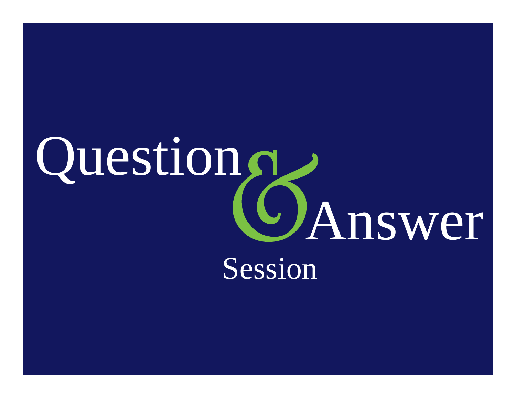# Question<sub>s</sub> Answer Session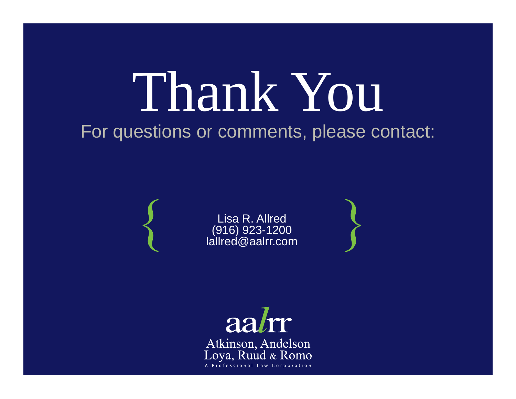# Thank You

#### For questions or comments, please contact:

Lisa R. Allred (916) 923-1200 lallred@aalrr.com